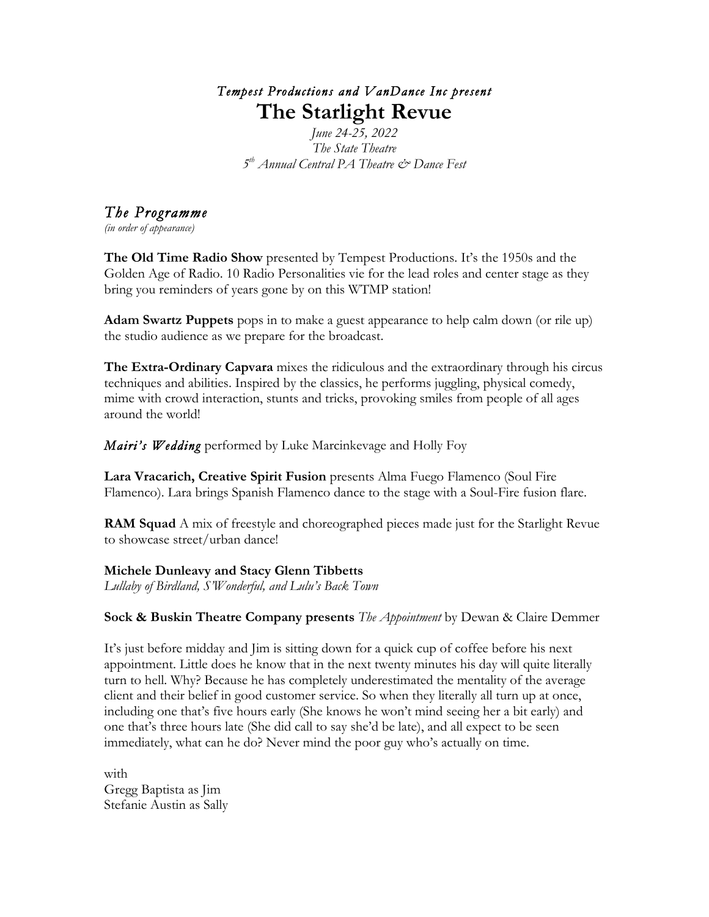## *Tempest Productions and VanDance Inc present*  **The Starlight Revue**

*June 24-25, 2022 The State Theatre 5th Annual Central PA Theatre & Dance Fest*

# *The Programme (in order of appearance)*

**The Old Time Radio Show** presented by Tempest Productions. It's the 1950s and the Golden Age of Radio. 10 Radio Personalities vie for the lead roles and center stage as they bring you reminders of years gone by on this WTMP station!

**Adam Swartz Puppets** pops in to make a guest appearance to help calm down (or rile up) the studio audience as we prepare for the broadcast.

**The Extra-Ordinary Capvara** mixes the ridiculous and the extraordinary through his circus techniques and abilities. Inspired by the classics, he performs juggling, physical comedy, mime with crowd interaction, stunts and tricks, provoking smiles from people of all ages around the world!

*Mairi's Wedding* performed by Luke Marcinkevage and Holly Foy

**Lara Vracarich, Creative Spirit Fusion** presents Alma Fuego Flamenco (Soul Fire Flamenco). Lara brings Spanish Flamenco dance to the stage with a Soul-Fire fusion flare.

**RAM Squad** A mix of freestyle and choreographed pieces made just for the Starlight Revue to showcase street/urban dance!

**Michele Dunleavy and Stacy Glenn Tibbetts** *Lullaby of Birdland, S'Wonderful, and Lulu's Back Town*

**Sock & Buskin Theatre Company presents** *The Appointment* by Dewan & Claire Demmer

It's just before midday and Jim is sitting down for a quick cup of coffee before his next appointment. Little does he know that in the next twenty minutes his day will quite literally turn to hell. Why? Because he has completely underestimated the mentality of the average client and their belief in good customer service. So when they literally all turn up at once, including one that's five hours early (She knows he won't mind seeing her a bit early) and one that's three hours late (She did call to say she'd be late), and all expect to be seen immediately, what can he do? Never mind the poor guy who's actually on time.

with Gregg Baptista as Jim Stefanie Austin as Sally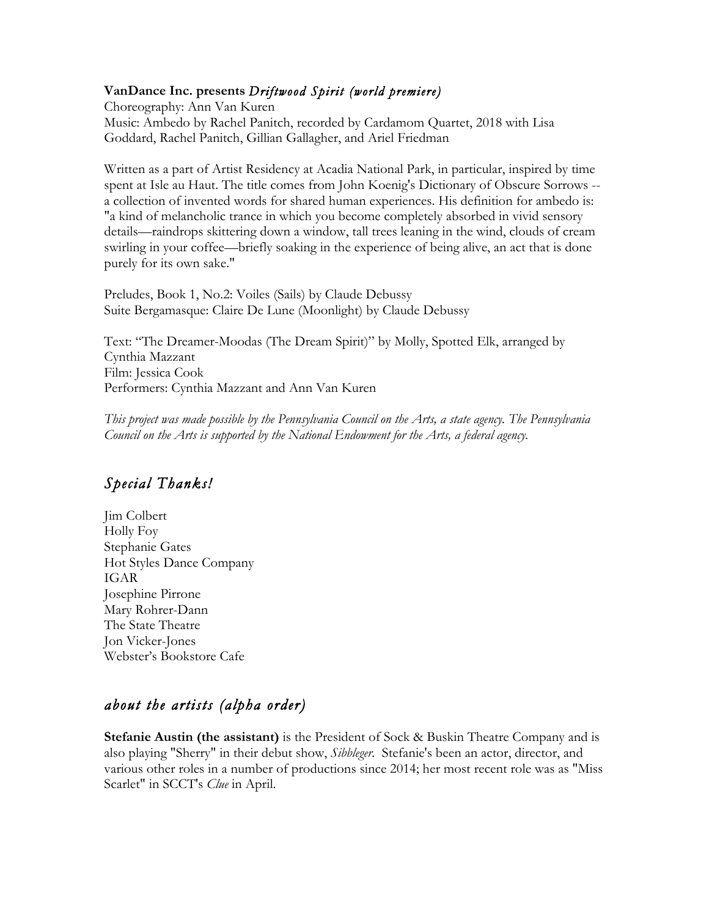#### **VanDance Inc. presents** *Driftwood Spirit (world premiere)*

Choreography: Ann Van Kuren Music: Ambedo by Rachel Panitch, recorded by Cardamom Quartet, 2018 with Lisa Goddard, Rachel Panitch, Gillian Gallagher, and Ariel Friedman

Written as a part of Artist Residency at Acadia National Park, in particular, inspired by time spent at Isle au Haut. The title comes from John Koenig's Dictionary of Obscure Sorrows - a collection of invented words for shared human experiences. His definition for ambedo is: "a kind of melancholic trance in which you become completely absorbed in vivid sensory details—raindrops skittering down a window, tall trees leaning in the wind, clouds of cream swirling in your coffee—briefly soaking in the experience of being alive, an act that is done purely for its own sake."

Preludes, Book 1, No.2: Voiles (Sails) by Claude Debussy Suite Bergamasque: Claire De Lune (Moonlight) by Claude Debussy

Text: "The Dreamer-Moodas (The Dream Spirit)" by Molly, Spotted Elk, arranged by Cynthia Mazzant Film: Jessica Cook Performers: Cynthia Mazzant and Ann Van Kuren

*This project was made possible by the Pennsylvania Council on the Arts, a state agency. The Pennsylvania Council on the Arts is supported by the National Endowment for the Arts, a federal agency.*

## *Special Thanks!*

Jim Colbert Holly Foy Stephanie Gates Hot Styles Dance Company IGAR Josephine Pirrone Mary Rohrer-Dann The State Theatre Jon Vicker-Jones Webster's Bookstore Cafe

### *about the artists (alpha order)*

**Stefanie Austin (the assistant)** is the President of Sock & Buskin Theatre Company and is also playing "Sherry" in their debut show, *Sibbleger.* Stefanie's been an actor, director, and various other roles in a number of productions since 2014; her most recent role was as "Miss Scarlet" in SCCT's *Clue* in April.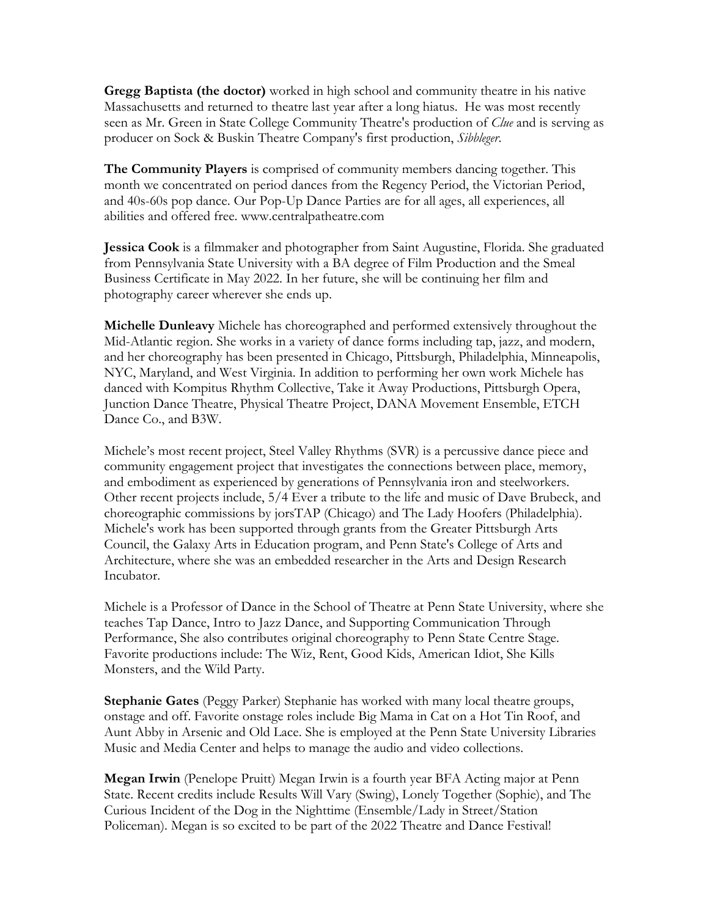**Gregg Baptista (the doctor)** worked in high school and community theatre in his native Massachusetts and returned to theatre last year after a long hiatus. He was most recently seen as Mr. Green in State College Community Theatre's production of *Clue* and is serving as producer on Sock & Buskin Theatre Company's first production, *Sibbleger*.

**The Community Players** is comprised of community members dancing together. This month we concentrated on period dances from the Regency Period, the Victorian Period, and 40s-60s pop dance. Our Pop-Up Dance Parties are for all ages, all experiences, all abilities and offered free. www.centralpatheatre.com

**Jessica Cook** is a filmmaker and photographer from Saint Augustine, Florida. She graduated from Pennsylvania State University with a BA degree of Film Production and the Smeal Business Certificate in May 2022. In her future, she will be continuing her film and photography career wherever she ends up.

**Michelle Dunleavy** Michele has choreographed and performed extensively throughout the Mid-Atlantic region. She works in a variety of dance forms including tap, jazz, and modern, and her choreography has been presented in Chicago, Pittsburgh, Philadelphia, Minneapolis, NYC, Maryland, and West Virginia. In addition to performing her own work Michele has danced with Kompitus Rhythm Collective, Take it Away Productions, Pittsburgh Opera, Junction Dance Theatre, Physical Theatre Project, DANA Movement Ensemble, ETCH Dance Co., and B3W.

Michele's most recent project, Steel Valley Rhythms (SVR) is a percussive dance piece and community engagement project that investigates the connections between place, memory, and embodiment as experienced by generations of Pennsylvania iron and steelworkers. Other recent projects include, 5/4 Ever a tribute to the life and music of Dave Brubeck, and choreographic commissions by jorsTAP (Chicago) and The Lady Hoofers (Philadelphia). Michele's work has been supported through grants from the Greater Pittsburgh Arts Council, the Galaxy Arts in Education program, and Penn State's College of Arts and Architecture, where she was an embedded researcher in the Arts and Design Research Incubator.

Michele is a Professor of Dance in the School of Theatre at Penn State University, where she teaches Tap Dance, Intro to Jazz Dance, and Supporting Communication Through Performance, She also contributes original choreography to Penn State Centre Stage. Favorite productions include: The Wiz, Rent, Good Kids, American Idiot, She Kills Monsters, and the Wild Party.

**Stephanie Gates** (Peggy Parker) Stephanie has worked with many local theatre groups, onstage and off. Favorite onstage roles include Big Mama in Cat on a Hot Tin Roof, and Aunt Abby in Arsenic and Old Lace. She is employed at the Penn State University Libraries Music and Media Center and helps to manage the audio and video collections.

**Megan Irwin** (Penelope Pruitt) Megan Irwin is a fourth year BFA Acting major at Penn State. Recent credits include Results Will Vary (Swing), Lonely Together (Sophie), and The Curious Incident of the Dog in the Nighttime (Ensemble/Lady in Street/Station Policeman). Megan is so excited to be part of the 2022 Theatre and Dance Festival!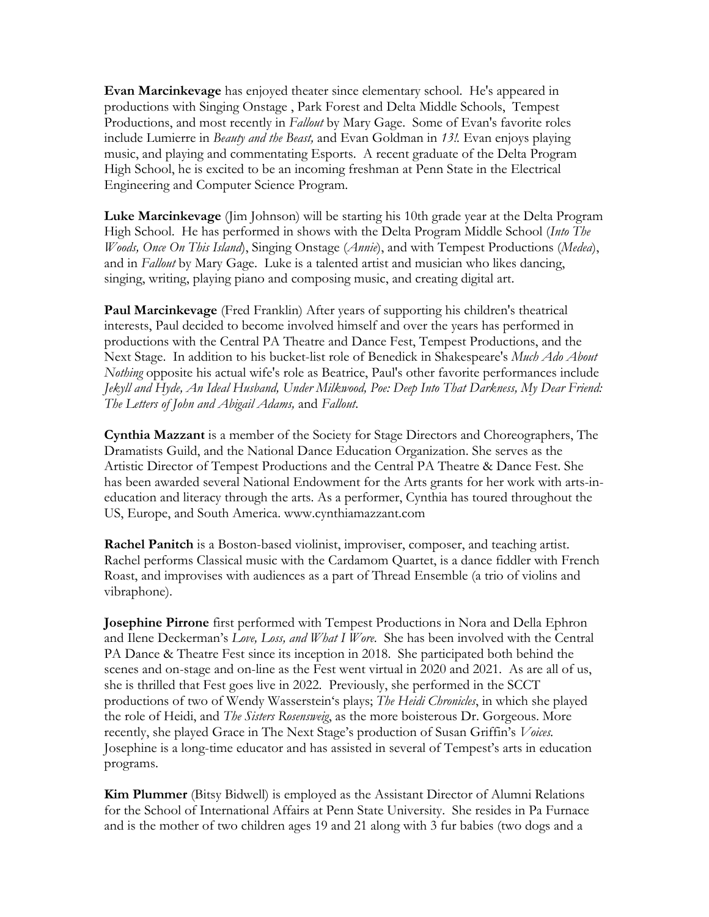**Evan Marcinkevage** has enjoyed theater since elementary school. He's appeared in productions with Singing Onstage , Park Forest and Delta Middle Schools, Tempest Productions, and most recently in *Fallout* by Mary Gage. Some of Evan's favorite roles include Lumierre in *Beauty and the Beast,* and Evan Goldman in *13!.* Evan enjoys playing music, and playing and commentating Esports. A recent graduate of the Delta Program High School, he is excited to be an incoming freshman at Penn State in the Electrical Engineering and Computer Science Program.

**Luke Marcinkevage** (Jim Johnson) will be starting his 10th grade year at the Delta Program High School. He has performed in shows with the Delta Program Middle School (*Into The Woods, Once On This Island*), Singing Onstage (*Annie*), and with Tempest Productions (*Medea*), and in *Fallout* by Mary Gage. Luke is a talented artist and musician who likes dancing, singing, writing, playing piano and composing music, and creating digital art.

**Paul Marcinkevage** (Fred Franklin) After years of supporting his children's theatrical interests, Paul decided to become involved himself and over the years has performed in productions with the Central PA Theatre and Dance Fest, Tempest Productions, and the Next Stage. In addition to his bucket-list role of Benedick in Shakespeare's *Much Ado About Nothing* opposite his actual wife's role as Beatrice, Paul's other favorite performances include *Jekyll and Hyde, An Ideal Husband, Under Milkwood, Poe: Deep Into That Darkness, My Dear Friend: The Letters of John and Abigail Adams,* and *Fallout*.

**Cynthia Mazzant** is a member of the Society for Stage Directors and Choreographers, The Dramatists Guild, and the National Dance Education Organization. She serves as the Artistic Director of Tempest Productions and the Central PA Theatre & Dance Fest. She has been awarded several National Endowment for the Arts grants for her work with arts-ineducation and literacy through the arts. As a performer, Cynthia has toured throughout the US, Europe, and South America. www.cynthiamazzant.com

**Rachel Panitch** is a Boston-based violinist, improviser, composer, and teaching artist. Rachel performs Classical music with the Cardamom Quartet, is a dance fiddler with French Roast, and improvises with audiences as a part of Thread Ensemble (a trio of violins and vibraphone).

**Josephine Pirrone** first performed with Tempest Productions in Nora and Della Ephron and Ilene Deckerman's *Love, Loss, and What I Wore*. She has been involved with the Central PA Dance & Theatre Fest since its inception in 2018. She participated both behind the scenes and on-stage and on-line as the Fest went virtual in 2020 and 2021. As are all of us, she is thrilled that Fest goes live in 2022. Previously, she performed in the SCCT productions of two of Wendy Wasserstein's plays; *The Heidi Chronicles*, in which she played the role of Heidi, and *The Sisters Rosensweig*, as the more boisterous Dr. Gorgeous. More recently, she played Grace in The Next Stage's production of Susan Griffin's *Voices.*  Josephine is a long-time educator and has assisted in several of Tempest's arts in education programs.

**Kim Plummer** (Bitsy Bidwell) is employed as the Assistant Director of Alumni Relations for the School of International Affairs at Penn State University. She resides in Pa Furnace and is the mother of two children ages 19 and 21 along with 3 fur babies (two dogs and a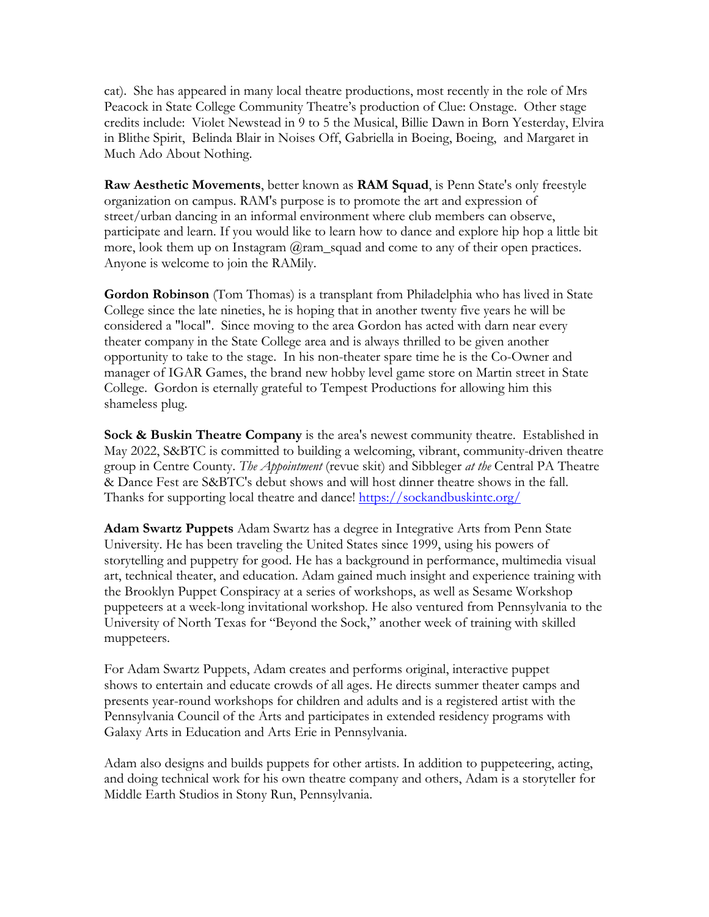cat). She has appeared in many local theatre productions, most recently in the role of Mrs Peacock in State College Community Theatre's production of Clue: Onstage. Other stage credits include: Violet Newstead in 9 to 5 the Musical, Billie Dawn in Born Yesterday, Elvira in Blithe Spirit, Belinda Blair in Noises Off, Gabriella in Boeing, Boeing, and Margaret in Much Ado About Nothing.

**Raw Aesthetic Movements**, better known as **RAM Squad**, is Penn State's only freestyle organization on campus. RAM's purpose is to promote the art and expression of street/urban dancing in an informal environment where club members can observe, participate and learn. If you would like to learn how to dance and explore hip hop a little bit more, look them up on Instagram  $@$ ram\_squad and come to any of their open practices. Anyone is welcome to join the RAMily.

**Gordon Robinson** (Tom Thomas) is a transplant from Philadelphia who has lived in State College since the late nineties, he is hoping that in another twenty five years he will be considered a "local". Since moving to the area Gordon has acted with darn near every theater company in the State College area and is always thrilled to be given another opportunity to take to the stage. In his non-theater spare time he is the Co-Owner and manager of IGAR Games, the brand new hobby level game store on Martin street in State College. Gordon is eternally grateful to Tempest Productions for allowing him this shameless plug.

**Sock & Buskin Theatre Company** is the area's newest community theatre. Established in May 2022, S&BTC is committed to building a welcoming, vibrant, community-driven theatre group in Centre County. *The Appointment* (revue skit) and Sibbleger *at the* Central PA Theatre & Dance Fest are S&BTC's debut shows and will host dinner theatre shows in the fall. Thanks for supporting local theatre and dance! https://sockandbuskintc.org/

**Adam Swartz Puppets** Adam Swartz has a degree in Integrative Arts from Penn State University. He has been traveling the United States since 1999, using his powers of storytelling and puppetry for good. He has a background in performance, multimedia visual art, technical theater, and education. Adam gained much insight and experience training with the Brooklyn Puppet Conspiracy at a series of workshops, as well as Sesame Workshop puppeteers at a week-long invitational workshop. He also ventured from Pennsylvania to the University of North Texas for "Beyond the Sock," another week of training with skilled muppeteers.

For Adam Swartz Puppets, Adam creates and performs original, interactive puppet shows to entertain and educate crowds of all ages. He directs summer theater camps and presents year-round workshops for children and adults and is a registered artist with the Pennsylvania Council of the Arts and participates in extended residency programs with Galaxy Arts in Education and Arts Erie in Pennsylvania.

Adam also designs and builds puppets for other artists. In addition to puppeteering, acting, and doing technical work for his own theatre company and others, Adam is a storyteller for Middle Earth Studios in Stony Run, Pennsylvania.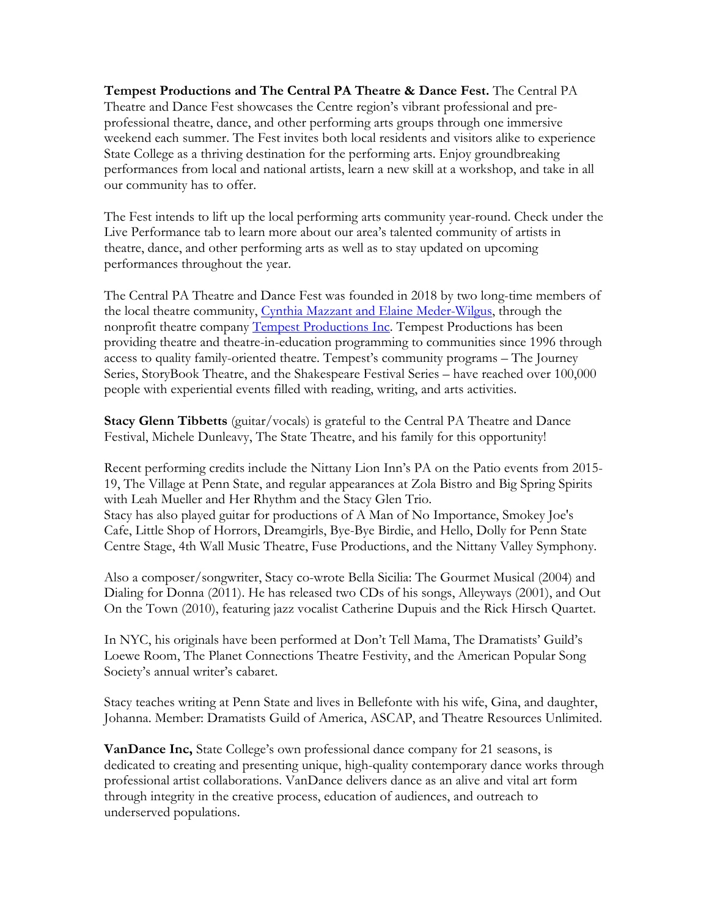**Tempest Productions and The Central PA Theatre & Dance Fest.** The Central PA Theatre and Dance Fest showcases the Centre region's vibrant professional and preprofessional theatre, dance, and other performing arts groups through one immersive weekend each summer. The Fest invites both local residents and visitors alike to experience State College as a thriving destination for the performing arts. Enjoy groundbreaking performances from local and national artists, learn a new skill at a workshop, and take in all our community has to offer.

The Fest intends to lift up the local performing arts community year-round. Check under the Live Performance tab to learn more about our area's talented community of artists in theatre, dance, and other performing arts as well as to stay updated on upcoming performances throughout the year.

The Central PA Theatre and Dance Fest was founded in 2018 by two long-time members of the local theatre community, Cynthia Mazzant and Elaine Meder-Wilgus, through the nonprofit theatre company Tempest Productions Inc. Tempest Productions has been providing theatre and theatre-in-education programming to communities since 1996 through access to quality family-oriented theatre. Tempest's community programs – The Journey Series, StoryBook Theatre, and the Shakespeare Festival Series – have reached over 100,000 people with experiential events filled with reading, writing, and arts activities.

**Stacy Glenn Tibbetts** (guitar/vocals) is grateful to the Central PA Theatre and Dance Festival, Michele Dunleavy, The State Theatre, and his family for this opportunity!

Recent performing credits include the Nittany Lion Inn's PA on the Patio events from 2015- 19, The Village at Penn State, and regular appearances at Zola Bistro and Big Spring Spirits with Leah Mueller and Her Rhythm and the Stacy Glen Trio. Stacy has also played guitar for productions of A Man of No Importance, Smokey Joe's Cafe, Little Shop of Horrors, Dreamgirls, Bye-Bye Birdie, and Hello, Dolly for Penn State Centre Stage, 4th Wall Music Theatre, Fuse Productions, and the Nittany Valley Symphony.

Also a composer/songwriter, Stacy co-wrote Bella Sicilia: The Gourmet Musical (2004) and Dialing for Donna (2011). He has released two CDs of his songs, Alleyways (2001), and Out On the Town (2010), featuring jazz vocalist Catherine Dupuis and the Rick Hirsch Quartet.

In NYC, his originals have been performed at Don't Tell Mama, The Dramatists' Guild's Loewe Room, The Planet Connections Theatre Festivity, and the American Popular Song Society's annual writer's cabaret.

Stacy teaches writing at Penn State and lives in Bellefonte with his wife, Gina, and daughter, Johanna. Member: Dramatists Guild of America, ASCAP, and Theatre Resources Unlimited.

**VanDance Inc,** State College's own professional dance company for 21 seasons, is dedicated to creating and presenting unique, high-quality contemporary dance works through professional artist collaborations. VanDance delivers dance as an alive and vital art form through integrity in the creative process, education of audiences, and outreach to underserved populations.